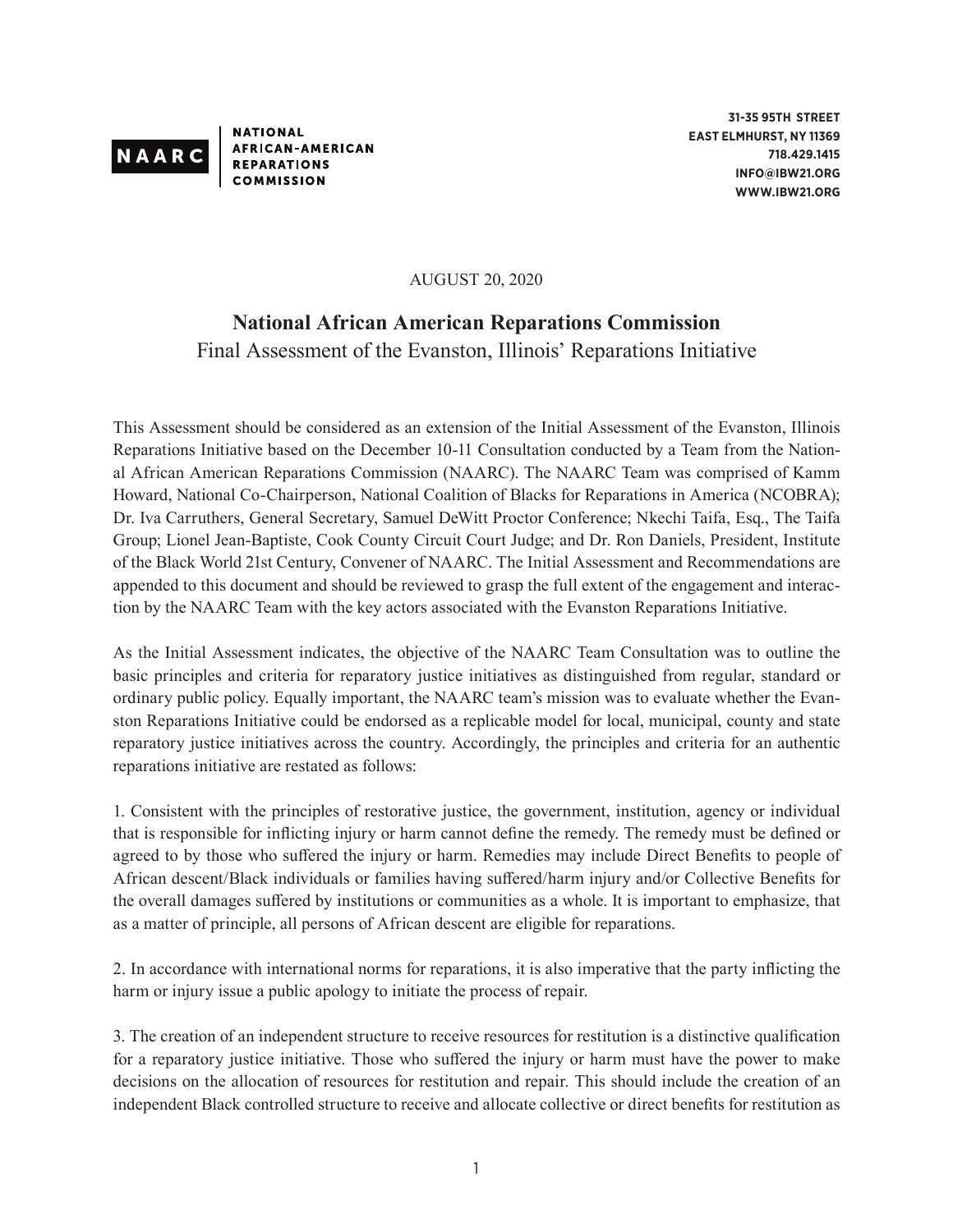

**NATIONAL AFRICAN-AMERICAN REPARATIONS COMMISSION** 

**31-35 95TH STREET EAST ELMHURST, NY 11369 718.429.1415 INFO@IBW21.ORG WWW.IBW21.ORG**

AUGUST 20, 2020

## **National African American Reparations Commission**

## Final Assessment of the Evanston, Illinois' Reparations Initiative

This Assessment should be considered as an extension of the Initial Assessment of the Evanston, Illinois Reparations Initiative based on the December 10-11 Consultation conducted by a Team from the National African American Reparations Commission (NAARC). The NAARC Team was comprised of Kamm Howard, National Co-Chairperson, National Coalition of Blacks for Reparations in America (NCOBRA); Dr. Iva Carruthers, General Secretary, Samuel DeWitt Proctor Conference; Nkechi Taifa, Esq., The Taifa Group; Lionel Jean-Baptiste, Cook County Circuit Court Judge; and Dr. Ron Daniels, President, Institute of the Black World 21st Century, Convener of NAARC. The Initial Assessment and Recommendations are appended to this document and should be reviewed to grasp the full extent of the engagement and interaction by the NAARC Team with the key actors associated with the Evanston Reparations Initiative.

As the Initial Assessment indicates, the objective of the NAARC Team Consultation was to outline the basic principles and criteria for reparatory justice initiatives as distinguished from regular, standard or ordinary public policy. Equally important, the NAARC team's mission was to evaluate whether the Evanston Reparations Initiative could be endorsed as a replicable model for local, municipal, county and state reparatory justice initiatives across the country. Accordingly, the principles and criteria for an authentic reparations initiative are restated as follows:

1. Consistent with the principles of restorative justice, the government, institution, agency or individual that is responsible for inflicting injury or harm cannot define the remedy. The remedy must be defined or agreed to by those who suffered the injury or harm. Remedies may include Direct Benefits to people of African descent/Black individuals or families having suffered/harm injury and/or Collective Benefits for the overall damages suffered by institutions or communities as a whole. It is important to emphasize, that as a matter of principle, all persons of African descent are eligible for reparations.

2. In accordance with international norms for reparations, it is also imperative that the party inflicting the harm or injury issue a public apology to initiate the process of repair.

3. The creation of an independent structure to receive resources for restitution is a distinctive qualification for a reparatory justice initiative. Those who suffered the injury or harm must have the power to make decisions on the allocation of resources for restitution and repair. This should include the creation of an independent Black controlled structure to receive and allocate collective or direct benefits for restitution as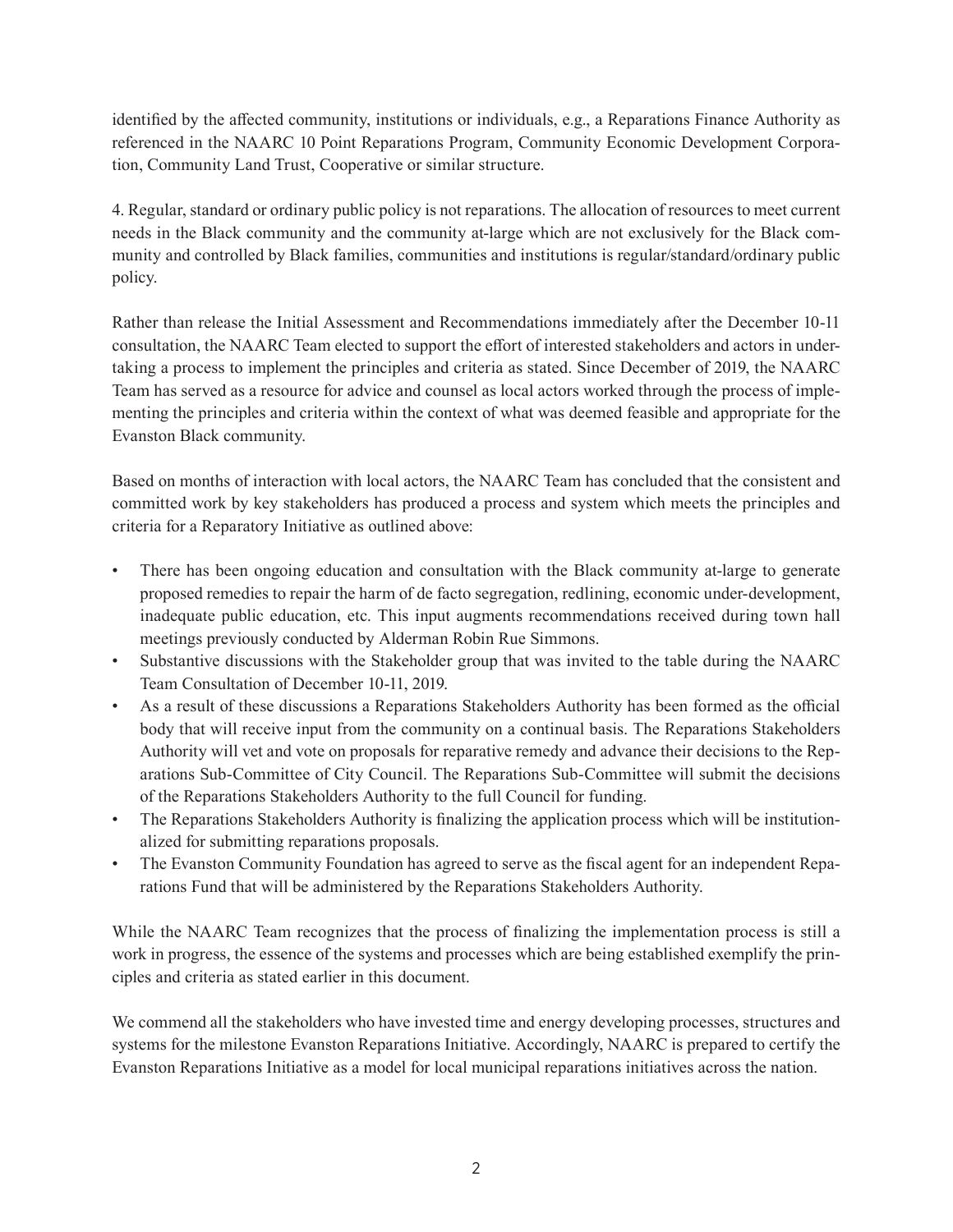identified by the affected community, institutions or individuals, e.g., a Reparations Finance Authority as referenced in the NAARC 10 Point Reparations Program, Community Economic Development Corporation, Community Land Trust, Cooperative or similar structure.

4. Regular, standard or ordinary public policy is not reparations. The allocation of resources to meet current needs in the Black community and the community at-large which are not exclusively for the Black community and controlled by Black families, communities and institutions is regular/standard/ordinary public policy.

Rather than release the Initial Assessment and Recommendations immediately after the December 10-11 consultation, the NAARC Team elected to support the effort of interested stakeholders and actors in undertaking a process to implement the principles and criteria as stated. Since December of 2019, the NAARC Team has served as a resource for advice and counsel as local actors worked through the process of implementing the principles and criteria within the context of what was deemed feasible and appropriate for the Evanston Black community.

Based on months of interaction with local actors, the NAARC Team has concluded that the consistent and committed work by key stakeholders has produced a process and system which meets the principles and criteria for a Reparatory Initiative as outlined above:

- There has been ongoing education and consultation with the Black community at-large to generate proposed remedies to repair the harm of de facto segregation, redlining, economic under-development, inadequate public education, etc. This input augments recommendations received during town hall meetings previously conducted by Alderman Robin Rue Simmons.
- Substantive discussions with the Stakeholder group that was invited to the table during the NAARC Team Consultation of December 10-11, 2019.
- As a result of these discussions a Reparations Stakeholders Authority has been formed as the official body that will receive input from the community on a continual basis. The Reparations Stakeholders Authority will vet and vote on proposals for reparative remedy and advance their decisions to the Reparations Sub-Committee of City Council. The Reparations Sub-Committee will submit the decisions of the Reparations Stakeholders Authority to the full Council for funding.
- The Reparations Stakeholders Authority is finalizing the application process which will be institutionalized for submitting reparations proposals.
- The Evanston Community Foundation has agreed to serve as the fiscal agent for an independent Reparations Fund that will be administered by the Reparations Stakeholders Authority.

While the NAARC Team recognizes that the process of finalizing the implementation process is still a work in progress, the essence of the systems and processes which are being established exemplify the principles and criteria as stated earlier in this document.

We commend all the stakeholders who have invested time and energy developing processes, structures and systems for the milestone Evanston Reparations Initiative. Accordingly, NAARC is prepared to certify the Evanston Reparations Initiative as a model for local municipal reparations initiatives across the nation.